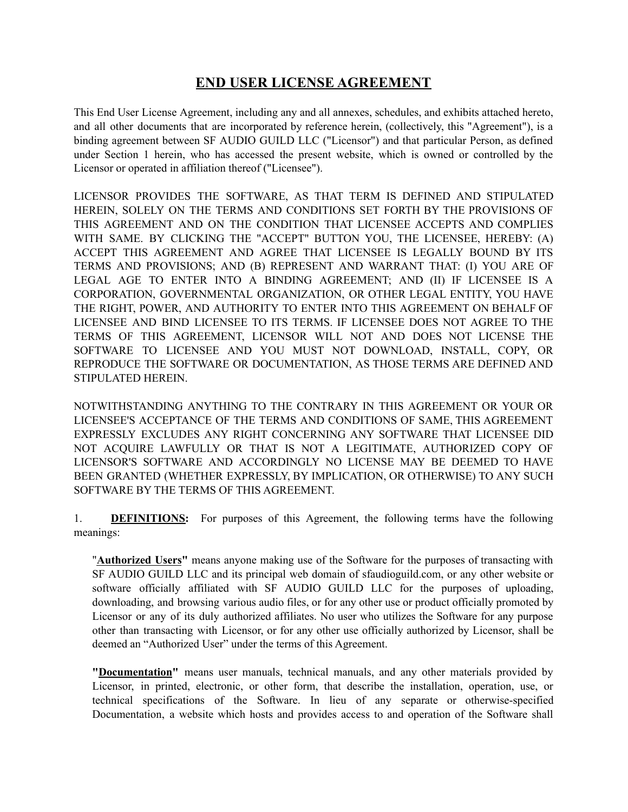## **END USER LICENSE AGREEMENT**

This End User License Agreement, including any and all annexes, schedules, and exhibits attached hereto, and all other documents that are incorporated by reference herein, (collectively, this "Agreement"), is a binding agreement between SF AUDIO GUILD LLC ("Licensor") and that particular Person, as defined under Section 1 herein, who has accessed the present website, which is owned or controlled by the Licensor or operated in affiliation thereof ("Licensee").

LICENSOR PROVIDES THE SOFTWARE, AS THAT TERM IS DEFINED AND STIPULATED HEREIN, SOLELY ON THE TERMS AND CONDITIONS SET FORTH BY THE PROVISIONS OF THIS AGREEMENT AND ON THE CONDITION THAT LICENSEE ACCEPTS AND COMPLIES WITH SAME. BY CLICKING THE "ACCEPT" BUTTON YOU, THE LICENSEE, HEREBY: (A) ACCEPT THIS AGREEMENT AND AGREE THAT LICENSEE IS LEGALLY BOUND BY ITS TERMS AND PROVISIONS; AND (B) REPRESENT AND WARRANT THAT: (I) YOU ARE OF LEGAL AGE TO ENTER INTO A BINDING AGREEMENT; AND (II) IF LICENSEE IS A CORPORATION, GOVERNMENTAL ORGANIZATION, OR OTHER LEGAL ENTITY, YOU HAVE THE RIGHT, POWER, AND AUTHORITY TO ENTER INTO THIS AGREEMENT ON BEHALF OF LICENSEE AND BIND LICENSEE TO ITS TERMS. IF LICENSEE DOES NOT AGREE TO THE TERMS OF THIS AGREEMENT, LICENSOR WILL NOT AND DOES NOT LICENSE THE SOFTWARE TO LICENSEE AND YOU MUST NOT DOWNLOAD, INSTALL, COPY, OR REPRODUCE THE SOFTWARE OR DOCUMENTATION, AS THOSE TERMS ARE DEFINED AND STIPULATED HEREIN.

NOTWITHSTANDING ANYTHING TO THE CONTRARY IN THIS AGREEMENT OR YOUR OR LICENSEE'S ACCEPTANCE OF THE TERMS AND CONDITIONS OF SAME, THIS AGREEMENT EXPRESSLY EXCLUDES ANY RIGHT CONCERNING ANY SOFTWARE THAT LICENSEE DID NOT ACQUIRE LAWFULLY OR THAT IS NOT A LEGITIMATE, AUTHORIZED COPY OF LICENSOR'S SOFTWARE AND ACCORDINGLY NO LICENSE MAY BE DEEMED TO HAVE BEEN GRANTED (WHETHER EXPRESSLY, BY IMPLICATION, OR OTHERWISE) TO ANY SUCH SOFTWARE BY THE TERMS OF THIS AGREEMENT.

1. **DEFINITIONS:** For purposes of this Agreement, the following terms have the following meanings:

"**Authorized Users"** means anyone making use of the Software for the purposes of transacting with SF AUDIO GUILD LLC and its principal web domain of sfaudioguild.com, or any other website or software officially affiliated with SF AUDIO GUILD LLC for the purposes of uploading, downloading, and browsing various audio files, or for any other use or product officially promoted by Licensor or any of its duly authorized affiliates. No user who utilizes the Software for any purpose other than transacting with Licensor, or for any other use officially authorized by Licensor, shall be deemed an "Authorized User" under the terms of this Agreement.

**"Documentation"** means user manuals, technical manuals, and any other materials provided by Licensor, in printed, electronic, or other form, that describe the installation, operation, use, or technical specifications of the Software. In lieu of any separate or otherwise-specified Documentation, a website which hosts and provides access to and operation of the Software shall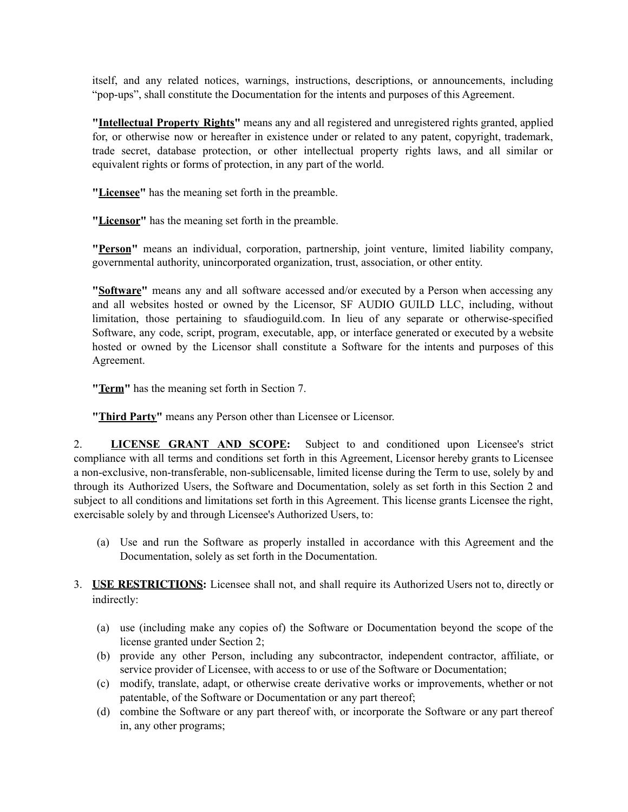itself, and any related notices, warnings, instructions, descriptions, or announcements, including "pop-ups", shall constitute the Documentation for the intents and purposes of this Agreement.

**"Intellectual Property Rights"** means any and all registered and unregistered rights granted, applied for, or otherwise now or hereafter in existence under or related to any patent, copyright, trademark, trade secret, database protection, or other intellectual property rights laws, and all similar or equivalent rights or forms of protection, in any part of the world.

**"Licensee"** has the meaning set forth in the preamble.

**"Licensor"** has the meaning set forth in the preamble.

**"Person"** means an individual, corporation, partnership, joint venture, limited liability company, governmental authority, unincorporated organization, trust, association, or other entity.

**"Software"** means any and all software accessed and/or executed by a Person when accessing any and all websites hosted or owned by the Licensor, SF AUDIO GUILD LLC, including, without limitation, those pertaining to sfaudioguild.com. In lieu of any separate or otherwise-specified Software, any code, script, program, executable, app, or interface generated or executed by a website hosted or owned by the Licensor shall constitute a Software for the intents and purposes of this Agreement.

**"Term"** has the meaning set forth in Section 7.

**"Third Party"** means any Person other than Licensee or Licensor.

2. **LICENSE GRANT AND SCOPE:** Subject to and conditioned upon Licensee's strict compliance with all terms and conditions set forth in this Agreement, Licensor hereby grants to Licensee a non-exclusive, non-transferable, non-sublicensable, limited license during the Term to use, solely by and through its Authorized Users, the Software and Documentation, solely as set forth in this Section 2 and subject to all conditions and limitations set forth in this Agreement. This license grants Licensee the right, exercisable solely by and through Licensee's Authorized Users, to:

- (a) Use and run the Software as properly installed in accordance with this Agreement and the Documentation, solely as set forth in the Documentation.
- 3. **USE RESTRICTIONS:** Licensee shall not, and shall require its Authorized Users not to, directly or indirectly:
	- (a) use (including make any copies of) the Software or Documentation beyond the scope of the license granted under Section 2;
	- (b) provide any other Person, including any subcontractor, independent contractor, affiliate, or service provider of Licensee, with access to or use of the Software or Documentation;
	- (c) modify, translate, adapt, or otherwise create derivative works or improvements, whether or not patentable, of the Software or Documentation or any part thereof;
	- (d) combine the Software or any part thereof with, or incorporate the Software or any part thereof in, any other programs;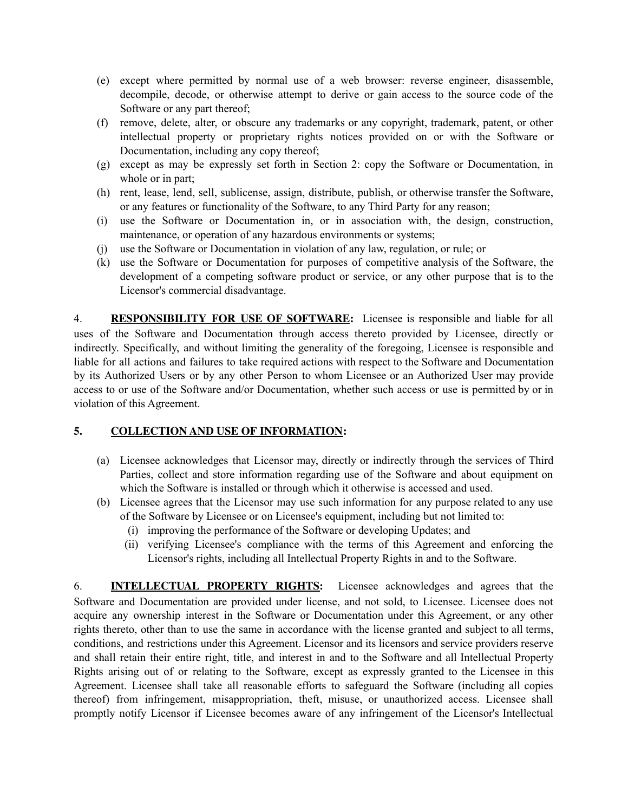- (e) except where permitted by normal use of a web browser: reverse engineer, disassemble, decompile, decode, or otherwise attempt to derive or gain access to the source code of the Software or any part thereof;
- (f) remove, delete, alter, or obscure any trademarks or any copyright, trademark, patent, or other intellectual property or proprietary rights notices provided on or with the Software or Documentation, including any copy thereof;
- (g) except as may be expressly set forth in Section 2: copy the Software or Documentation, in whole or in part;
- (h) rent, lease, lend, sell, sublicense, assign, distribute, publish, or otherwise transfer the Software, or any features or functionality of the Software, to any Third Party for any reason;
- (i) use the Software or Documentation in, or in association with, the design, construction, maintenance, or operation of any hazardous environments or systems;
- (j) use the Software or Documentation in violation of any law, regulation, or rule; or
- (k) use the Software or Documentation for purposes of competitive analysis of the Software, the development of a competing software product or service, or any other purpose that is to the Licensor's commercial disadvantage.

4. **RESPONSIBILITY FOR USE OF SOFTWARE:** Licensee is responsible and liable for all uses of the Software and Documentation through access thereto provided by Licensee, directly or indirectly. Specifically, and without limiting the generality of the foregoing, Licensee is responsible and liable for all actions and failures to take required actions with respect to the Software and Documentation by its Authorized Users or by any other Person to whom Licensee or an Authorized User may provide access to or use of the Software and/or Documentation, whether such access or use is permitted by or in violation of this Agreement.

## **5. COLLECTION AND USE OF INFORMATION:**

- (a) Licensee acknowledges that Licensor may, directly or indirectly through the services of Third Parties, collect and store information regarding use of the Software and about equipment on which the Software is installed or through which it otherwise is accessed and used.
- (b) Licensee agrees that the Licensor may use such information for any purpose related to any use of the Software by Licensee or on Licensee's equipment, including but not limited to:
	- (i) improving the performance of the Software or developing Updates; and
	- (ii) verifying Licensee's compliance with the terms of this Agreement and enforcing the Licensor's rights, including all Intellectual Property Rights in and to the Software.

6. **INTELLECTUAL PROPERTY RIGHTS:** Licensee acknowledges and agrees that the Software and Documentation are provided under license, and not sold, to Licensee. Licensee does not acquire any ownership interest in the Software or Documentation under this Agreement, or any other rights thereto, other than to use the same in accordance with the license granted and subject to all terms, conditions, and restrictions under this Agreement. Licensor and its licensors and service providers reserve and shall retain their entire right, title, and interest in and to the Software and all Intellectual Property Rights arising out of or relating to the Software, except as expressly granted to the Licensee in this Agreement. Licensee shall take all reasonable efforts to safeguard the Software (including all copies thereof) from infringement, misappropriation, theft, misuse, or unauthorized access. Licensee shall promptly notify Licensor if Licensee becomes aware of any infringement of the Licensor's Intellectual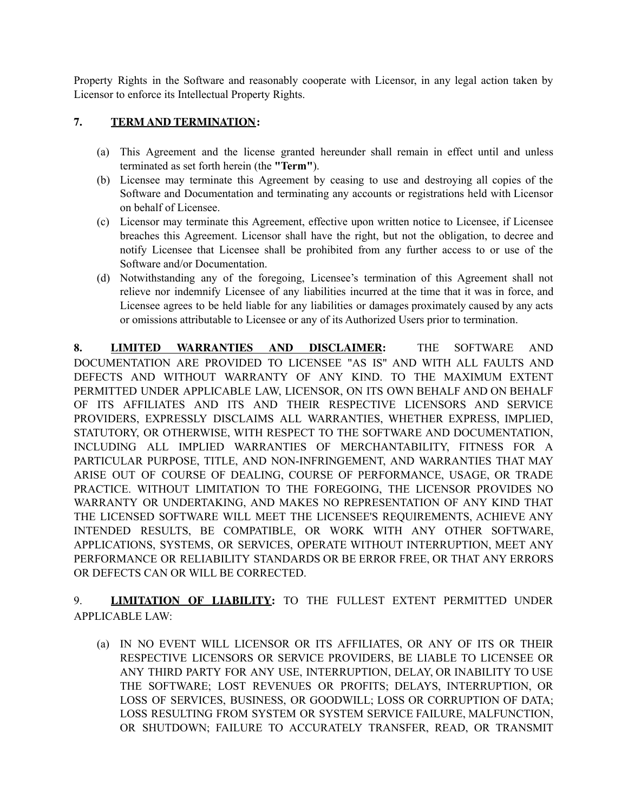Property Rights in the Software and reasonably cooperate with Licensor, in any legal action taken by Licensor to enforce its Intellectual Property Rights.

## **7. TERM AND TERMINATION:**

- (a) This Agreement and the license granted hereunder shall remain in effect until and unless terminated as set forth herein (the **"Term"**).
- (b) Licensee may terminate this Agreement by ceasing to use and destroying all copies of the Software and Documentation and terminating any accounts or registrations held with Licensor on behalf of Licensee.
- (c) Licensor may terminate this Agreement, effective upon written notice to Licensee, if Licensee breaches this Agreement. Licensor shall have the right, but not the obligation, to decree and notify Licensee that Licensee shall be prohibited from any further access to or use of the Software and/or Documentation.
- (d) Notwithstanding any of the foregoing, Licensee's termination of this Agreement shall not relieve nor indemnify Licensee of any liabilities incurred at the time that it was in force, and Licensee agrees to be held liable for any liabilities or damages proximately caused by any acts or omissions attributable to Licensee or any of its Authorized Users prior to termination.

**8. LIMITED WARRANTIES AND DISCLAIMER:** THE SOFTWARE AND DOCUMENTATION ARE PROVIDED TO LICENSEE "AS IS" AND WITH ALL FAULTS AND DEFECTS AND WITHOUT WARRANTY OF ANY KIND. TO THE MAXIMUM EXTENT PERMITTED UNDER APPLICABLE LAW, LICENSOR, ON ITS OWN BEHALF AND ON BEHALF OF ITS AFFILIATES AND ITS AND THEIR RESPECTIVE LICENSORS AND SERVICE PROVIDERS, EXPRESSLY DISCLAIMS ALL WARRANTIES, WHETHER EXPRESS, IMPLIED, STATUTORY, OR OTHERWISE, WITH RESPECT TO THE SOFTWARE AND DOCUMENTATION, INCLUDING ALL IMPLIED WARRANTIES OF MERCHANTABILITY, FITNESS FOR A PARTICULAR PURPOSE, TITLE, AND NON-INFRINGEMENT, AND WARRANTIES THAT MAY ARISE OUT OF COURSE OF DEALING, COURSE OF PERFORMANCE, USAGE, OR TRADE PRACTICE. WITHOUT LIMITATION TO THE FOREGOING, THE LICENSOR PROVIDES NO WARRANTY OR UNDERTAKING, AND MAKES NO REPRESENTATION OF ANY KIND THAT THE LICENSED SOFTWARE WILL MEET THE LICENSEE'S REQUIREMENTS, ACHIEVE ANY INTENDED RESULTS, BE COMPATIBLE, OR WORK WITH ANY OTHER SOFTWARE, APPLICATIONS, SYSTEMS, OR SERVICES, OPERATE WITHOUT INTERRUPTION, MEET ANY PERFORMANCE OR RELIABILITY STANDARDS OR BE ERROR FREE, OR THAT ANY ERRORS OR DEFECTS CAN OR WILL BE CORRECTED.

9. **LIMITATION OF LIABILITY:** TO THE FULLEST EXTENT PERMITTED UNDER APPLICABLE LAW:

(a) IN NO EVENT WILL LICENSOR OR ITS AFFILIATES, OR ANY OF ITS OR THEIR RESPECTIVE LICENSORS OR SERVICE PROVIDERS, BE LIABLE TO LICENSEE OR ANY THIRD PARTY FOR ANY USE, INTERRUPTION, DELAY, OR INABILITY TO USE THE SOFTWARE; LOST REVENUES OR PROFITS; DELAYS, INTERRUPTION, OR LOSS OF SERVICES, BUSINESS, OR GOODWILL; LOSS OR CORRUPTION OF DATA; LOSS RESULTING FROM SYSTEM OR SYSTEM SERVICE FAILURE, MALFUNCTION, OR SHUTDOWN; FAILURE TO ACCURATELY TRANSFER, READ, OR TRANSMIT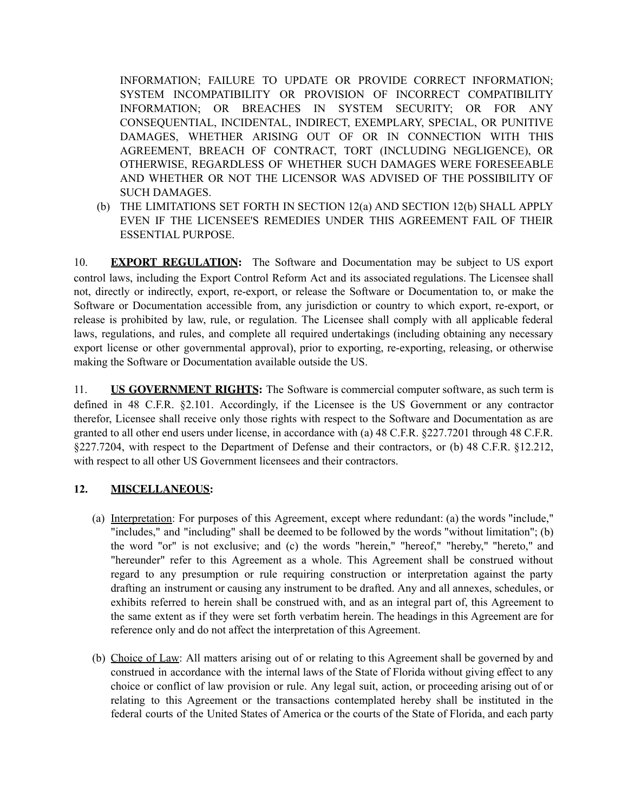INFORMATION; FAILURE TO UPDATE OR PROVIDE CORRECT INFORMATION; SYSTEM INCOMPATIBILITY OR PROVISION OF INCORRECT COMPATIBILITY INFORMATION; OR BREACHES IN SYSTEM SECURITY; OR FOR ANY CONSEQUENTIAL, INCIDENTAL, INDIRECT, EXEMPLARY, SPECIAL, OR PUNITIVE DAMAGES, WHETHER ARISING OUT OF OR IN CONNECTION WITH THIS AGREEMENT, BREACH OF CONTRACT, TORT (INCLUDING NEGLIGENCE), OR OTHERWISE, REGARDLESS OF WHETHER SUCH DAMAGES WERE FORESEEABLE AND WHETHER OR NOT THE LICENSOR WAS ADVISED OF THE POSSIBILITY OF SUCH DAMAGES.

(b) THE LIMITATIONS SET FORTH IN SECTION 12(a) AND SECTION 12(b) SHALL APPLY EVEN IF THE LICENSEE'S REMEDIES UNDER THIS AGREEMENT FAIL OF THEIR ESSENTIAL PURPOSE.

10. **EXPORT REGULATION:** The Software and Documentation may be subject to US export control laws, including the Export Control Reform Act and its associated regulations. The Licensee shall not, directly or indirectly, export, re-export, or release the Software or Documentation to, or make the Software or Documentation accessible from, any jurisdiction or country to which export, re-export, or release is prohibited by law, rule, or regulation. The Licensee shall comply with all applicable federal laws, regulations, and rules, and complete all required undertakings (including obtaining any necessary export license or other governmental approval), prior to exporting, re-exporting, releasing, or otherwise making the Software or Documentation available outside the US.

11. **US GOVERNMENT RIGHTS:** The Software is commercial computer software, as such term is defined in 48 C.F.R. §2.101. Accordingly, if the Licensee is the US Government or any contractor therefor, Licensee shall receive only those rights with respect to the Software and Documentation as are granted to all other end users under license, in accordance with (a) 48 C.F.R. §227.7201 through 48 C.F.R. §227.7204, with respect to the Department of Defense and their contractors, or (b) 48 C.F.R. §12.212, with respect to all other US Government licensees and their contractors.

## **12. MISCELLANEOUS:**

- (a) Interpretation: For purposes of this Agreement, except where redundant: (a) the words "include," "includes," and "including" shall be deemed to be followed by the words "without limitation"; (b) the word "or" is not exclusive; and (c) the words "herein," "hereof," "hereby," "hereto," and "hereunder" refer to this Agreement as a whole. This Agreement shall be construed without regard to any presumption or rule requiring construction or interpretation against the party drafting an instrument or causing any instrument to be drafted. Any and all annexes, schedules, or exhibits referred to herein shall be construed with, and as an integral part of, this Agreement to the same extent as if they were set forth verbatim herein. The headings in this Agreement are for reference only and do not affect the interpretation of this Agreement.
- (b) Choice of Law: All matters arising out of or relating to this Agreement shall be governed by and construed in accordance with the internal laws of the State of Florida without giving effect to any choice or conflict of law provision or rule. Any legal suit, action, or proceeding arising out of or relating to this Agreement or the transactions contemplated hereby shall be instituted in the federal courts of the United States of America or the courts of the State of Florida, and each party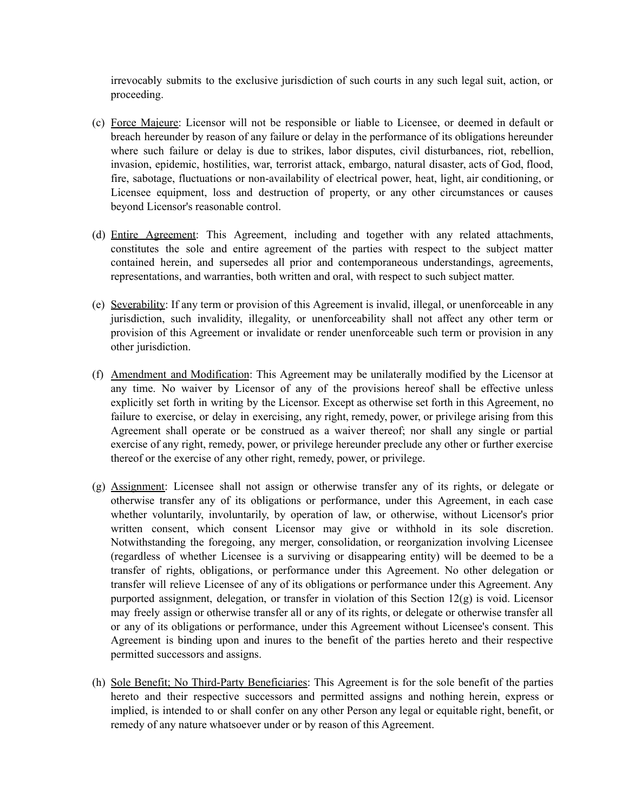irrevocably submits to the exclusive jurisdiction of such courts in any such legal suit, action, or proceeding.

- (c) Force Majeure: Licensor will not be responsible or liable to Licensee, or deemed in default or breach hereunder by reason of any failure or delay in the performance of its obligations hereunder where such failure or delay is due to strikes, labor disputes, civil disturbances, riot, rebellion, invasion, epidemic, hostilities, war, terrorist attack, embargo, natural disaster, acts of God, flood, fire, sabotage, fluctuations or non-availability of electrical power, heat, light, air conditioning, or Licensee equipment, loss and destruction of property, or any other circumstances or causes beyond Licensor's reasonable control.
- (d) Entire Agreement: This Agreement, including and together with any related attachments, constitutes the sole and entire agreement of the parties with respect to the subject matter contained herein, and supersedes all prior and contemporaneous understandings, agreements, representations, and warranties, both written and oral, with respect to such subject matter.
- (e) Severability: If any term or provision of this Agreement is invalid, illegal, or unenforceable in any jurisdiction, such invalidity, illegality, or unenforceability shall not affect any other term or provision of this Agreement or invalidate or render unenforceable such term or provision in any other jurisdiction.
- (f) Amendment and Modification: This Agreement may be unilaterally modified by the Licensor at any time. No waiver by Licensor of any of the provisions hereof shall be effective unless explicitly set forth in writing by the Licensor. Except as otherwise set forth in this Agreement, no failure to exercise, or delay in exercising, any right, remedy, power, or privilege arising from this Agreement shall operate or be construed as a waiver thereof; nor shall any single or partial exercise of any right, remedy, power, or privilege hereunder preclude any other or further exercise thereof or the exercise of any other right, remedy, power, or privilege.
- (g) Assignment: Licensee shall not assign or otherwise transfer any of its rights, or delegate or otherwise transfer any of its obligations or performance, under this Agreement, in each case whether voluntarily, involuntarily, by operation of law, or otherwise, without Licensor's prior written consent, which consent Licensor may give or withhold in its sole discretion. Notwithstanding the foregoing, any merger, consolidation, or reorganization involving Licensee (regardless of whether Licensee is a surviving or disappearing entity) will be deemed to be a transfer of rights, obligations, or performance under this Agreement. No other delegation or transfer will relieve Licensee of any of its obligations or performance under this Agreement. Any purported assignment, delegation, or transfer in violation of this Section 12(g) is void. Licensor may freely assign or otherwise transfer all or any of its rights, or delegate or otherwise transfer all or any of its obligations or performance, under this Agreement without Licensee's consent. This Agreement is binding upon and inures to the benefit of the parties hereto and their respective permitted successors and assigns.
- (h) Sole Benefit; No Third-Party Beneficiaries: This Agreement is for the sole benefit of the parties hereto and their respective successors and permitted assigns and nothing herein, express or implied, is intended to or shall confer on any other Person any legal or equitable right, benefit, or remedy of any nature whatsoever under or by reason of this Agreement.